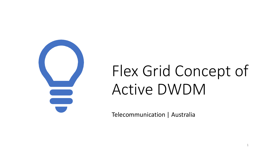

# Flex Grid Concept of Active DWDM

1

Telecommunication | Australia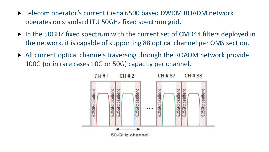- ▶ Telecom operator's current Ciena 6500 based DWDM ROADM network operates on standard ITU 50GHz fixed spectrum grid.
- ▶ In the 50GHZ fixed spectrum with the current set of CMD44 filters deployed in the network, it is capable of supporting 88 optical channel per OMS section.
- All current optical channels traversing through the ROADM network provide 100G (or in rare cases 10G or 50G) capacity per channel.

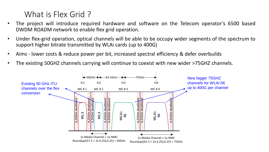## What is Flex Grid?

- The project will introduce required hardware and software on the Telecom operator's 6500 based DWDM ROADM network to enable flex grid operation.
- Under flex-grid operation, optical channels will be able to be occupy wider segments of the spectrum to support higher bitrate transmitted by WLAi cards (up to 400G)
- Aims lower costs & reduce power per bit, increased spectral efficiency & defer overbuilds
- The existing 50GHZ channels carrying will continue to coexist with new wider >75GHZ channels.

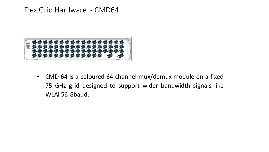## Flex Grid Hardware - CMD64



• CMD 64 is a coloured 64 channel mux/demux module on a fixed 75 GHz grid designed to support wider bandwidth signals like WLAi 56 Gbaud.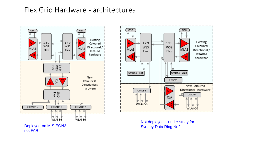## Flex Grid Hardware - architectures







Not deployed – under study for Sydney Data Ring No2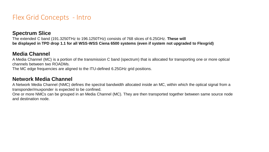### Flex Grid Concepts - Intro

#### **Spectrum Slice**

The extended C band (191.3250THz to 196.1250THz) consists of 768 slices of 6.25GHz. **These will be displayed in TPD drop 1.1 for all WSS-WSS Ciena 6500 systems (even if system not upgraded to Flexgrid)** 

#### **Media Channel**

A Media Channel (MC) is a portion of the transmission C band (spectrum) that is allocated for transporting one or more optical channels between two ROADMs.

The MC edge frequencies are aligned to the ITU-defined 6.25GHz grid positions.

#### **Network Media Channel**

A Network Media Channel (NMC) defines the spectral bandwidth allocated inside an MC, within which the optical signal from a transponder/muxponder is expected to be confined.

One or more NMCs can be grouped in an Media Channel (MC). They are then transported together between same source node and destination node.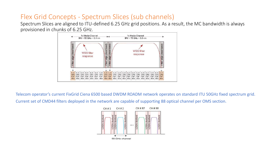## Flex Grid Concepts - Spectrum Slices (sub channels)

Spectrum Slices are aligned to ITU-defined 6.25 GHz grid positions. As a result, the MC bandwidth is always provisioned in chunks of 6.25 GHz.



Telecom operator's current FixGrid Ciena 6500 based DWDM ROADM network operates on standard ITU 50GHz fixed spectrum grid.

Current set of CMD44 filters deployed in the network are capable of supporting 88 optical channel per OMS section.

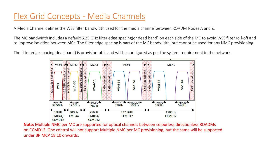## Flex Grid Concepts - Media Channels

A Media Channel defines the WSS filter bandwidth used for the media channel between ROADM Nodes A and Z.

The MC bandwidth includes a default 6.25 GHz filter edge spacing(or dead band) on each side of the MC to avoid WSS filter roll-off and to improve isolation between MCs. The filter edge spacing is part of the MC bandwidth, but cannot be used for any NMC provisioning.

The filter edge spacing(dead band) is provision-able and will be configured as per the system requirement in the network.



**Note:** Multiple NMC per MC are supported for optical channels between colourless directionless ROADMs on CCMD12. One control will not support Multiple NMC per MC provisioning, but the same will be supported under BP MCP 18.10 onwards.